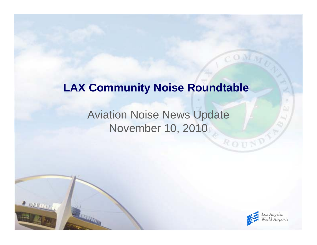#### **LAX Community Noise Roundtable**

#### Aviation Noise News Update November 10, 2010

 $2000000$ 



ROUN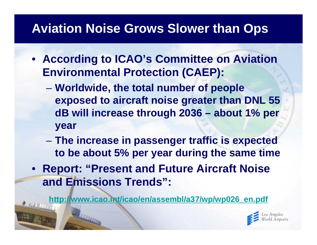## **Aviation Noise Grows Slower than Ops**

- **According to ICAO's Committee on Aviation Environmental Protection (CAEP):**
	- $\mathcal{L}_{\mathcal{A}}$  , and the set of the set of the set of the set of the set of the set of the set of the set of the set of the set of the set of the set of the set of the set of the set of the set of the set of the set of th **Worldwide, the total number of people exposed to aircraft noise greater than DNL 55 dB will increase through 2036 – about 1% per year**
	- $\mathcal{L}_{\mathcal{A}}$  , and the set of the set of the set of the set of the set of the set of the set of the set of the set of the set of the set of the set of the set of the set of the set of the set of the set of the set of th **The increase in passenger traffic is expected to be about 5% per year during the same time**
- **Report: "Present and Future Aircraft Noise and Emissions Trends":**

**[http://www.icao.int/icao/en/assembl/a37/wp/wp026\\_en.pdf](http://www.icao.int/icao/en/assembl/a37/wp/wp026_en.pdf)**

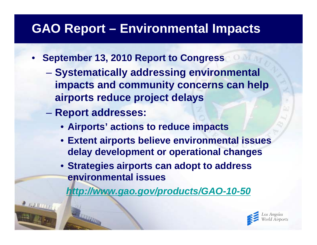## **GAO Report – Environmental Impacts**

- **September 13, 2010 Report to Congress**
	- $\mathcal{L}_{\mathcal{A}}$  , and the set of the set of the set of the set of the set of the set of the set of the set of the set of the set of the set of the set of the set of the set of the set of the set of the set of the set of th **Systematically addressing environmental impacts and community concerns can help airports reduce project delays**
	- $\mathcal{L}_{\mathcal{A}}$  , and the set of the set of the set of the set of the set of the set of the set of the set of the set of the set of the set of the set of the set of the set of the set of the set of the set of the set of th **Report addresses:**
		- **Airports' actions to reduce impacts**
		- **Extent airports believe environmental issues delay development or operational changes**
		- **Strategies airports can adopt to address environmental issues**

*<http://www.gao.gov/products/GAO-10-50>*

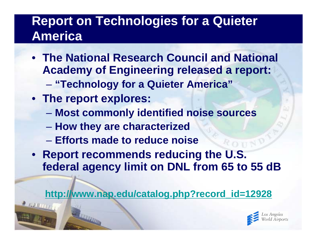## **Report on Technologies for a Quieter America**

- **The National Research Council and National Academy of Engineering released a report:**  $\mathcal{L}_{\mathcal{A}}$  , and the set of the set of the set of the set of the set of the set of the set of the set of the set of the set of the set of the set of the set of the set of the set of the set of the set of the set of th **"Technology for a Quieter America"**
- **The report explores:**
	- **Most commonly identified noise sources**
	- $\mathcal{L}_{\mathcal{A}}$  , and the set of the set of the set of the set of the set of the set of the set of the set of the set of the set of the set of the set of the set of the set of the set of the set of the set of the set of th **How they are characterized**
	- **Efforts made to reduce noise**
- **Report recommends reducing the U.S. federal agency limit on DNL from 65 to 55 dB**

**[http://www.nap.edu/catalog.php?record\\_id=12928](http://www.nap.edu/catalog.php?/advertising/index.html)**

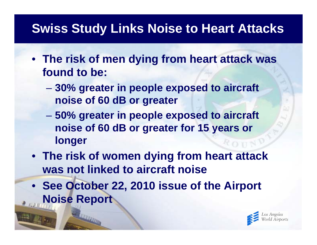## **Swiss Study Links Noise to Heart Attacks**

- **The risk of men dying from heart attack was found to be:**
	- $\mathcal{L}_{\mathcal{A}}$  , and the set of the set of the set of the set of the set of the set of the set of the set of the set of the set of the set of the set of the set of the set of the set of the set of the set of the set of th **30% greater in people exposed to aircraft noise of 60 dB or greater**
	- $\mathcal{L}_{\mathcal{A}}$  , and the set of the set of the set of the set of the set of the set of the set of the set of the set of the set of the set of the set of the set of the set of the set of the set of the set of the set of th **50% greater in people exposed to aircraft noise of 60 dB or greater for 15 years or longer**
- **The risk of women dying from heart attack was not linked to aircraft noise**
- **See October 22, 2010 issue of the Airport Noise Report**

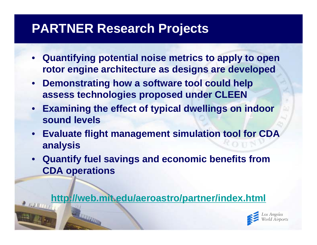### **PARTNER Research Projects**

- **Quantifying potential noise metrics to apply to open rotor engine architecture as designs are developed**
- **Demonstrating how a software tool could help assess technologies proposed under CLEEN**
- **Examining the effect of typical dwellings on indoor sound levels**
- **Evaluate flight management simulation tool for CDA analysis**
- **Quantify fuel savings and economic benefits from CDA operations**

**<http://web.mit.edu/aeroastro/partner/index.html>**

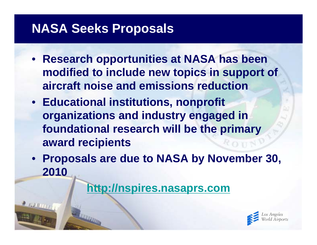### **NASA Seeks Proposals**

- **Research opportunities at NASA has been modified to include new topics in support of aircraft noise and emissions reduction**
- **Educational institutions, nonprofit organizations and industry engaged in foundational research will be the primary award recipients**
- **Proposals are due to NASA by November 30, 2010**

**[http://nspires.nasaprs.com](http://nspires.nasaprs.com/)**

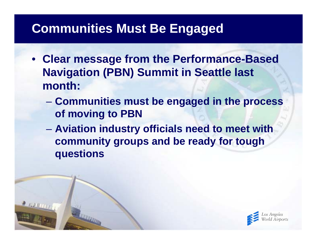### **Communities Must Be Engaged**

- **Clear message from the Performance-Based Navigation (PBN) Summit in Seattle last month:**
	- $\mathcal{L}_{\mathcal{A}}$  , and the set of the set of the set of the set of the set of the set of the set of the set of the set of the set of the set of the set of the set of the set of the set of the set of the set of the set of th **Communities must be engaged in the process of moving to PBN**
	- $\mathcal{L}_{\mathcal{A}}$  , and the set of the set of the set of the set of the set of the set of the set of the set of the set of the set of the set of the set of the set of the set of the set of the set of the set of the set of th **Aviation industry officials need to meet with community groups and be ready for tough questions**

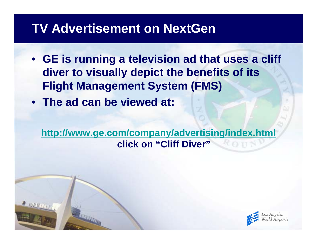#### **TV Advertisement on NextGen**

- **GE is running a television ad that uses a cliff diver to visually depict the benefits of its Flight Management System (FMS)**
- **The ad can be viewed at:**

**<http://www.ge.com/company/advertising/index.html> click on "Cliff Diver"**

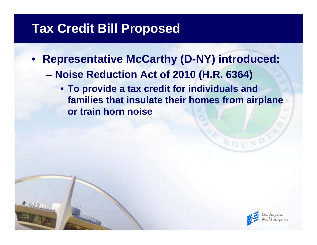### **Tax Credit Bill Proposed**

- **Representative McCarthy (D-NY) introduced:**
	- $\mathcal{L}_{\mathcal{A}}$  , and the set of the set of the set of the set of the set of the set of the set of the set of the set of the set of the set of the set of the set of the set of the set of the set of the set of the set of th **Noise Reduction Act of 2010 (H.R. 6364)**
		- **To provide a tax credit for individuals and families that insulate their homes from airplane or train horn noise**



ROU